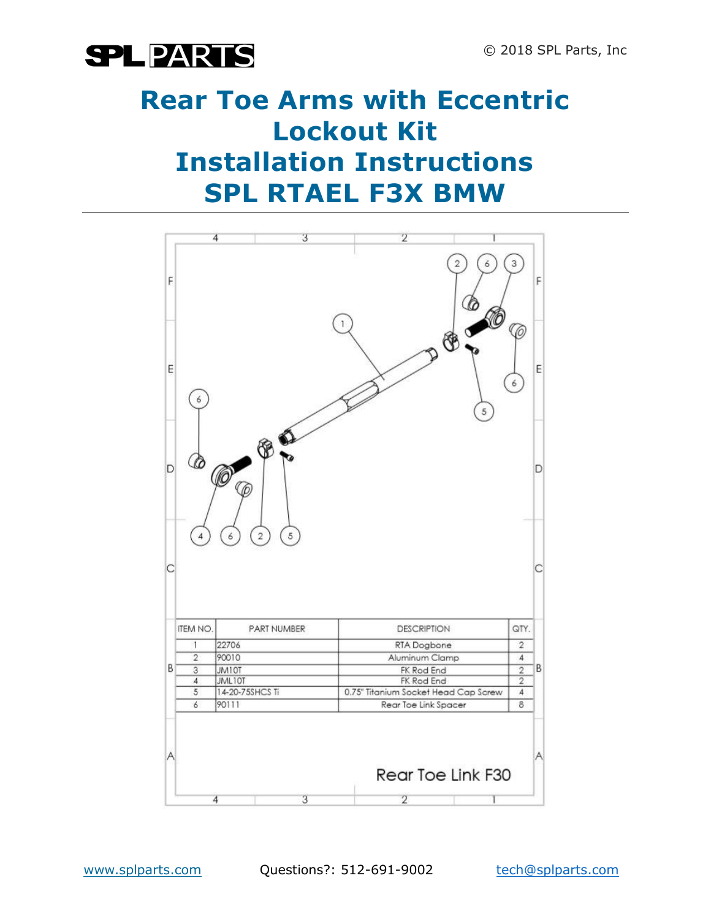

### **Rear Toe Arms with Eccentric Lockout Kit Installation Instructions SPL RTAEL F3X BMW**

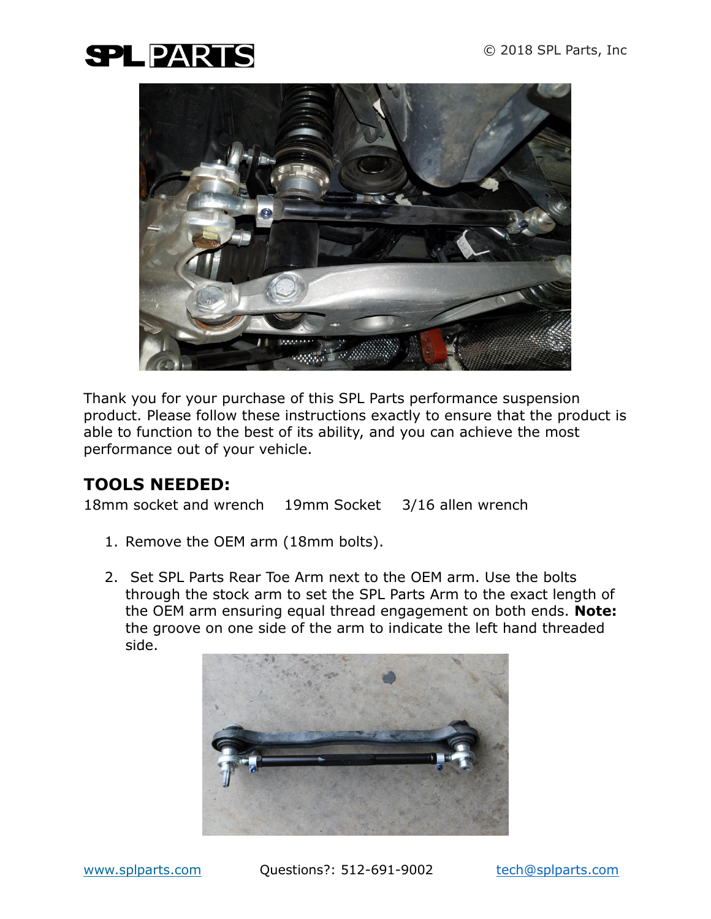## **SPLPARTS**



Thank you for your purchase of this SPL Parts performance suspension product. Please follow these instructions exactly to ensure that the product is able to function to the best of its ability, and you can achieve the most performance out of your vehicle.

#### **TOOLS NEEDED:**

18mm socket and wrench 19mm Socket 3/16 allen wrench

- 1. Remove the OEM arm (18mm bolts).
- 2. Set SPL Parts Rear Toe Arm next to the OEM arm. Use the bolts through the stock arm to set the SPL Parts Arm to the exact length of the OEM arm ensuring equal thread engagement on both ends. **Note:** the groove on one side of the arm to indicate the left hand threaded side.

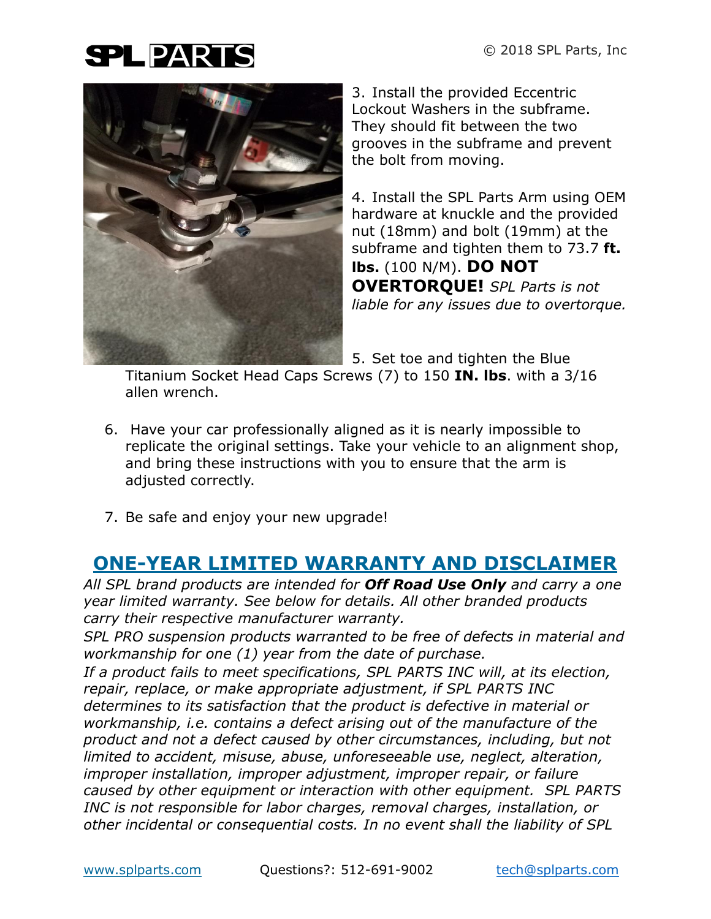# **SPLPARTS**



3. Install the provided Eccentric Lockout Washers in the subframe. They should fit between the two grooves in the subframe and prevent the bolt from moving.

4. Install the SPL Parts Arm using OEM hardware at knuckle and the provided nut (18mm) and bolt (19mm) at the subframe and tighten them to 73.7 **ft. lbs.** (100 N/M). **DO NOT OVERTORQUE!** *SPL Parts is not liable for any issues due to overtorque.*

5. Set toe and tighten the Blue

Titanium Socket Head Caps Screws (7) to 150 **IN. lbs**. with a 3/16 allen wrench.

- 6. Have your car professionally aligned as it is nearly impossible to replicate the original settings. Take your vehicle to an alignment shop, and bring these instructions with you to ensure that the arm is adjusted correctly.
- 7. Be safe and enjoy your new upgrade!

### **ONE-YEAR LIMITED WARRANTY AND DISCLAIMER**

*All SPL brand products are intended for Off Road Use Only and carry a one year limited warranty. See below for details. All other branded products carry their respective manufacturer warranty.*

*SPL PRO suspension products warranted to be free of defects in material and workmanship for one (1) year from the date of purchase.*

*If a product fails to meet specifications, SPL PARTS INC will, at its election, repair, replace, or make appropriate adjustment, if SPL PARTS INC determines to its satisfaction that the product is defective in material or workmanship, i.e. contains a defect arising out of the manufacture of the product and not a defect caused by other circumstances, including, but not limited to accident, misuse, abuse, unforeseeable use, neglect, alteration, improper installation, improper adjustment, improper repair, or failure caused by other equipment or interaction with other equipment. SPL PARTS INC is not responsible for labor charges, removal charges, installation, or other incidental or consequential costs. In no event shall the liability of SPL*